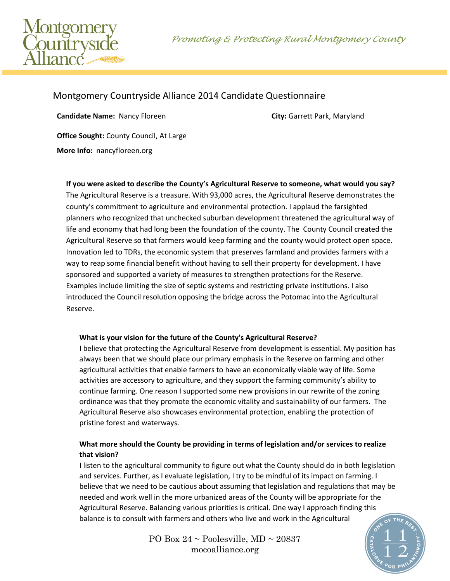Promoting & Protecting Rural Montgomery County



# Montgomery Countryside Alliance 2014 Candidate Questionnaire

**Candidate Name:** Nancy Floreen **City: Garrett Park, Maryland** 

**Office Sought:** County Council, At Large **More Info:** nancyfloreen.org

**If you were asked to describe the County's Agricultural Reserve to someone, what would you say?** The Agricultural Reserve is a treasure. With 93,000 acres, the Agricultural Reserve demonstrates the county's commitment to agriculture and environmental protection. I applaud the farsighted planners who recognized that unchecked suburban development threatened the agricultural way of life and economy that had long been the foundation of the county. The County Council created the Agricultural Reserve so that farmers would keep farming and the county would protect open space. Innovation led to TDRs, the economic system that preserves farmland and provides farmers with a way to reap some financial benefit without having to sell their property for development. I have sponsored and supported a variety of measures to strengthen protections for the Reserve. Examples include limiting the size of septic systems and restricting private institutions. I also introduced the Council resolution opposing the bridge across the Potomac into the Agricultural Reserve.

### **What is your vision for the future of the County's Agricultural Reserve?**

I believe that protecting the Agricultural Reserve from development is essential. My position has always been that we should place our primary emphasis in the Reserve on farming and other agricultural activities that enable farmers to have an economically viable way of life. Some activities are accessory to agriculture, and they support the farming community's ability to continue farming. One reason I supported some new provisions in our rewrite of the zoning ordinance was that they promote the economic vitality and sustainability of our farmers. The Agricultural Reserve also showcases environmental protection, enabling the protection of pristine forest and waterways.

### **What more should the County be providing in terms of legislation and/or services to realize that vision?**

I listen to the agricultural community to figure out what the County should do in both legislation and services. Further, as I evaluate legislation, I try to be mindful of its impact on farming. I believe that we need to be cautious about assuming that legislation and regulations that may be needed and work well in the more urbanized areas of the County will be appropriate for the Agricultural Reserve. Balancing various priorities is critical. One way I approach finding this balance is to consult with farmers and others who live and work in the Agricultural

> PO Box  $24 \sim$  Poolesville, MD  $\sim$  20837 mocoalliance.org

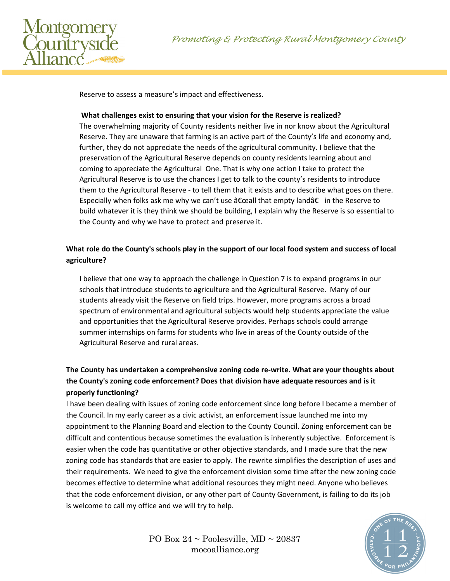

Reserve to assess a measure's impact and effectiveness.

#### **What challenges exist to ensuring that your vision for the Reserve is realized?**

The overwhelming majority of County residents neither live in nor know about the Agricultural Reserve. They are unaware that farming is an active part of the County's life and economy and, further, they do not appreciate the needs of the agricultural community. I believe that the preservation of the Agricultural Reserve depends on county residents learning about and coming to appreciate the Agricultural One. That is why one action I take to protect the Agricultural Reserve is to use the chances I get to talk to the county's residents to introduce them to the Agricultural Reserve - to tell them that it exists and to describe what goes on there. Especially when folks ask me why we can't use  $\hat{a} \in \hat{c}$  all that empty land $\hat{a} \in \hat{c}$  in the Reserve to build whatever it is they think we should be building, I explain why the Reserve is so essential to the County and why we have to protect and preserve it.

# **What role do the County's schools play in the support of our local food system and success of local agriculture?**

I believe that one way to approach the challenge in Question 7 is to expand programs in our schools that introduce students to agriculture and the Agricultural Reserve. Many of our students already visit the Reserve on field trips. However, more programs across a broad spectrum of environmental and agricultural subjects would help students appreciate the value and opportunities that the Agricultural Reserve provides. Perhaps schools could arrange summer internships on farms for students who live in areas of the County outside of the Agricultural Reserve and rural areas.

# **The County has undertaken a comprehensive zoning code re-write. What are your thoughts about the County's zoning code enforcement? Does that division have adequate resources and is it properly functioning?**

I have been dealing with issues of zoning code enforcement since long before I became a member of the Council. In my early career as a civic activist, an enforcement issue launched me into my appointment to the Planning Board and election to the County Council. Zoning enforcement can be difficult and contentious because sometimes the evaluation is inherently subjective. Enforcement is easier when the code has quantitative or other objective standards, and I made sure that the new zoning code has standards that are easier to apply. The rewrite simplifies the description of uses and their requirements. We need to give the enforcement division some time after the new zoning code becomes effective to determine what additional resources they might need. Anyone who believes that the code enforcement division, or any other part of County Government, is failing to do its job is welcome to call my office and we will try to help.

PO Box  $24 \sim$  Poolesville, MD  $\sim$  20837 mocoalliance.org